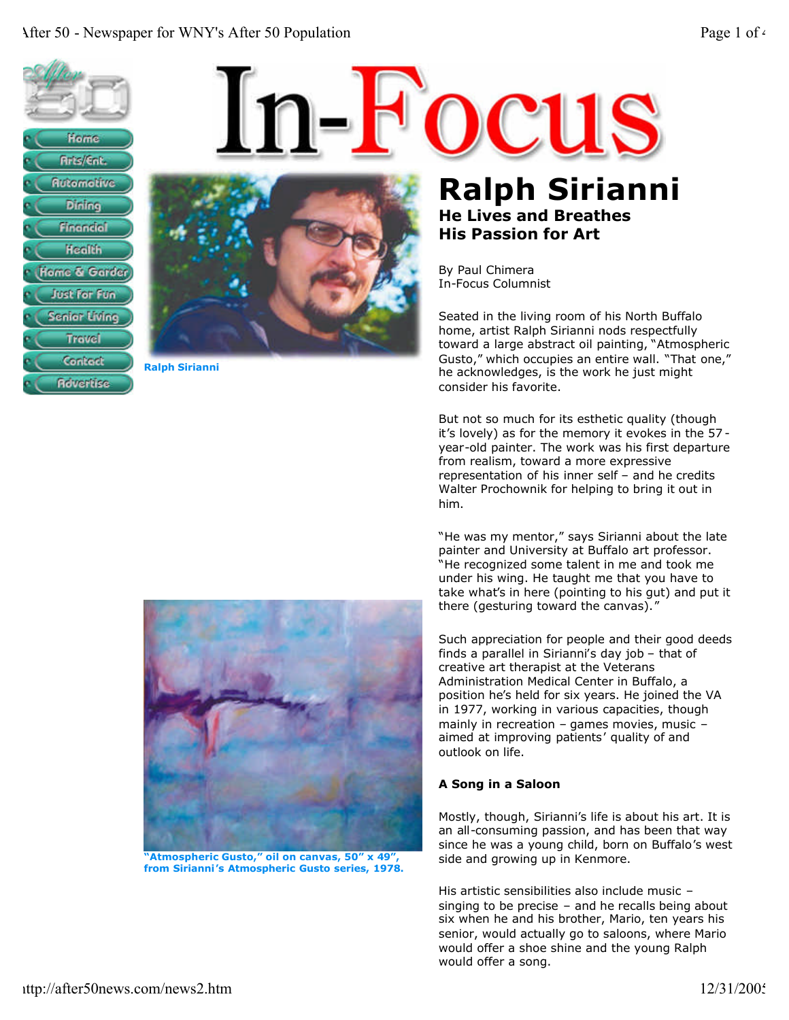



**Ralph Sirianni**

**Ralph Sirianni He Lives and Breathes His Passion for Art**

By Paul Chimera In-Focus Columnist

Seated in the living room of his North Buffalo home, artist Ralph Sirianni nods respectfully toward a large abstract oil painting, "Atmospheric Gusto," which occupies an entire wall. "That one," he acknowledges, is the work he just might consider his favorite.

But not so much for its esthetic quality (though it's lovely) as for the memory it evokes in the 57 year-old painter. The work was his first departure from realism, toward a more expressive representation of his inner self – and he credits Walter Prochownik for helping to bring it out in him.

"He was my mentor," says Sirianni about the late painter and University at Buffalo art professor. "He recognized some talent in me and took me under his wing. He taught me that you have to take what's in here (pointing to his gut) and put it there (gesturing toward the canvas)."

Such appreciation for people and their good deeds finds a parallel in Sirianni's day job – that of creative art therapist at the Veterans Administration Medical Center in Buffalo, a position he's held for six years. He joined the VA in 1977, working in various capacities, though mainly in recreation – games movies, music – aimed at improving patients' quality of and outlook on life.

## **A Song in a Saloon**

Mostly, though, Sirianni's life is about his art. It is an all-consuming passion, and has been that way since he was a young child, born on Buffalo's west side and growing up in Kenmore.

His artistic sensibilities also include music – singing to be precise – and he recalls being about six when he and his brother, Mario, ten years his senior, would actually go to saloons, where Mario would offer a shoe shine and the young Ralph would offer a song.



**"Atmospheric Gusto," oil on canvas, 50" x 49", from Sirianni's Atmospheric Gusto series, 1978.**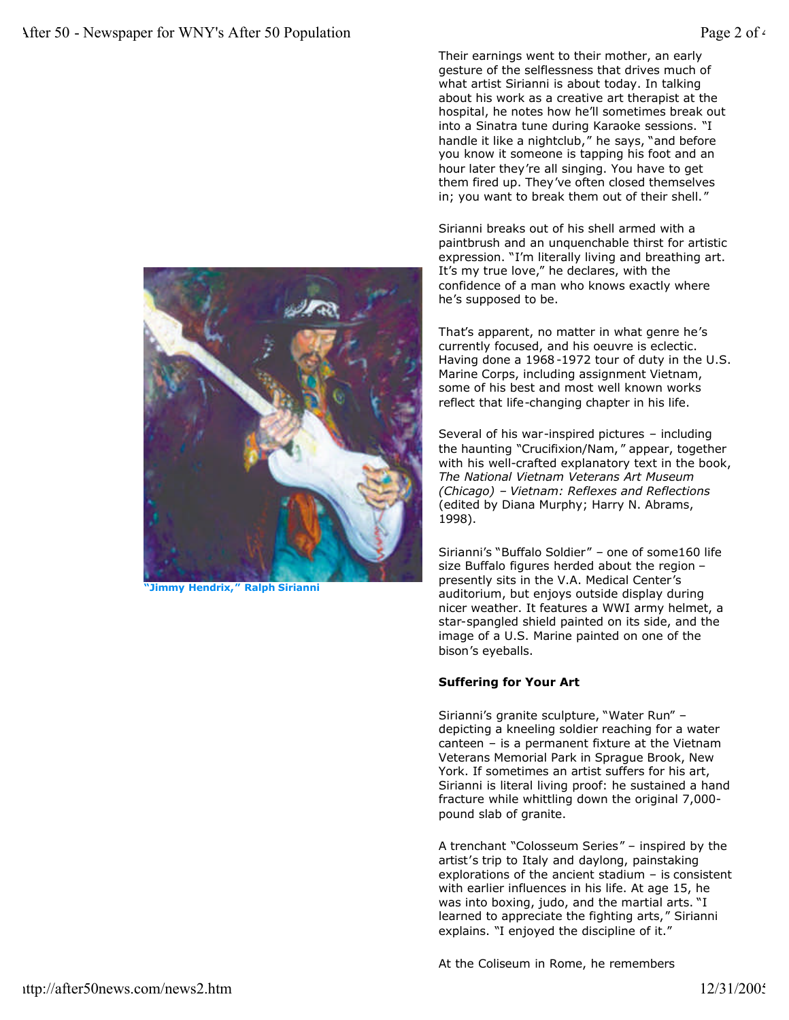

**"Jimmy Hendrix," Ralph Sirianni**

Their earnings went to their mother, an early gesture of the selflessness that drives much of what artist Sirianni is about today. In talking about his work as a creative art therapist at the hospital, he notes how he'll sometimes break out into a Sinatra tune during Karaoke sessions. "I handle it like a nightclub," he says, "and before you know it someone is tapping his foot and an hour later they're all singing. You have to get them fired up. They've often closed themselves in; you want to break them out of their shell."

Sirianni breaks out of his shell armed with a paintbrush and an unquenchable thirst for artistic expression. "I'm literally living and breathing art. It's my true love," he declares, with the confidence of a man who knows exactly where he's supposed to be.

That's apparent, no matter in what genre he's currently focused, and his oeuvre is eclectic. Having done a 1968-1972 tour of duty in the U.S. Marine Corps, including assignment Vietnam, some of his best and most well known works reflect that life-changing chapter in his life.

Several of his war-inspired pictures – including the haunting "Crucifixion/Nam, " appear, together with his well-crafted explanatory text in the book, *The National Vietnam Veterans Art Museum (Chicago) – Vietnam: Reflexes and Reflections* (edited by Diana Murphy; Harry N. Abrams, 1998).

Sirianni's "Buffalo Soldier" – one of some160 life size Buffalo figures herded about the region – presently sits in the V.A. Medical Center's auditorium, but enjoys outside display during nicer weather. It features a WWI army helmet, a star-spangled shield painted on its side, and the image of a U.S. Marine painted on one of the bison's eyeballs.

## **Suffering for Your Art**

Sirianni's granite sculpture, "Water Run" – depicting a kneeling soldier reaching for a water canteen – is a permanent fixture at the Vietnam Veterans Memorial Park in Sprague Brook, New York. If sometimes an artist suffers for his art, Sirianni is literal living proof: he sustained a hand fracture while whittling down the original 7,000 pound slab of granite.

A trenchant "Colosseum Series" – inspired by the artist's trip to Italy and daylong, painstaking explorations of the ancient stadium – is consistent with earlier influences in his life. At age 15, he was into boxing, judo, and the martial arts. "I learned to appreciate the fighting arts," Sirianni explains. "I enjoyed the discipline of it."

At the Coliseum in Rome, he remembers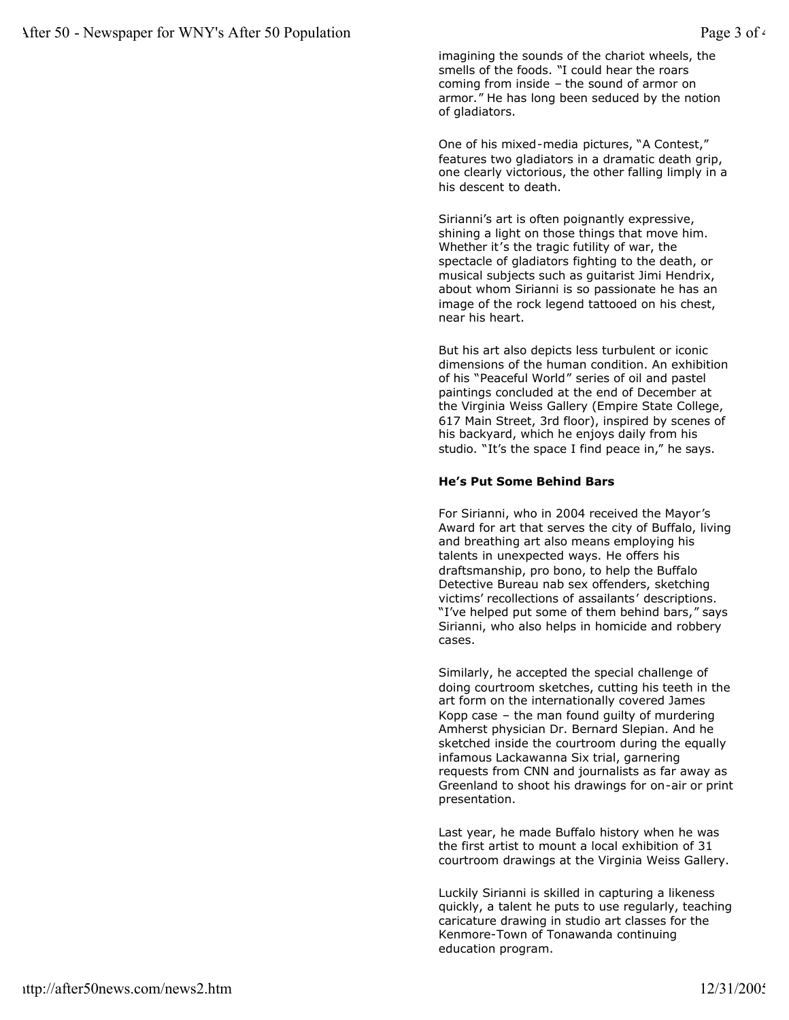imagining the sounds of the chariot wheels, the smells of the foods. "I could hear the roars coming from inside – the sound of armor on armor." He has long been seduced by the notion of gladiators.

One of his mixed-media pictures, "A Contest," features two gladiators in a dramatic death grip, one clearly victorious, the other falling limply in a his descent to death.

Sirianni's art is often poignantly expressive, shining a light on those things that move him. Whether it's the tragic futility of war, the spectacle of gladiators fighting to the death, or musical subjects such as guitarist Jimi Hendrix, about whom Sirianni is so passionate he has an image of the rock legend tattooed on his chest, near his heart.

But his art also depicts less turbulent or iconic dimensions of the human condition. An exhibition of his "Peaceful World" series of oil and pastel paintings concluded at the end of December at the Virginia Weiss Gallery (Empire State College, 617 Main Street, 3rd floor), inspired by scenes of his backyard, which he enjoys daily from his studio. "It's the space I find peace in," he says.

## **He's Put Some Behind Bars**

For Sirianni, who in 2004 received the Mayor's Award for art that serves the city of Buffalo, living and breathing art also means employing his talents in unexpected ways. He offers his draftsmanship, pro bono, to help the Buffalo Detective Bureau nab sex offenders, sketching victims' recollections of assailants' descriptions. "I've helped put some of them behind bars," says Sirianni, who also helps in homicide and robbery cases.

Similarly, he accepted the special challenge of doing courtroom sketches, cutting his teeth in the art form on the internationally covered James Kopp case – the man found guilty of murdering Amherst physician Dr. Bernard Slepian. And he sketched inside the courtroom during the equally infamous Lackawanna Six trial, garnering requests from CNN and journalists as far away as Greenland to shoot his drawings for on-air or print presentation.

Last year, he made Buffalo history when he was the first artist to mount a local exhibition of 31 courtroom drawings at the Virginia Weiss Gallery.

Luckily Sirianni is skilled in capturing a likeness quickly, a talent he puts to use regularly, teaching caricature drawing in studio art classes for the Kenmore-Town of Tonawanda continuing education program.